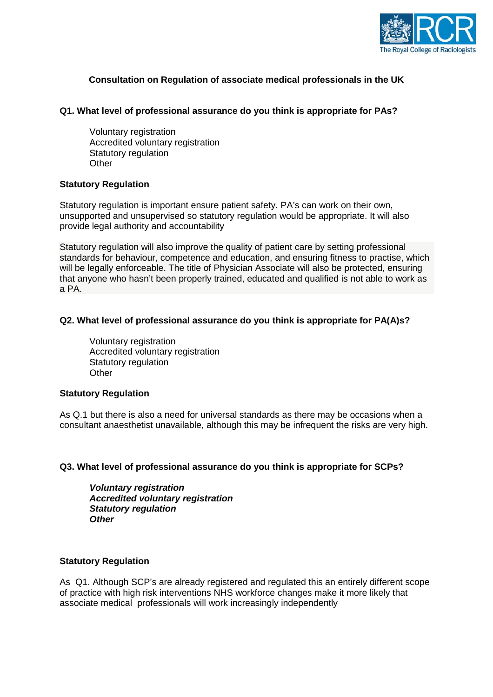

# **Consultation on Regulation of associate medical professionals in the UK**

## **Q1. What level of professional assurance do you think is appropriate for PAs?**

Voluntary registration Accredited voluntary registration Statutory regulation **Other** 

### **Statutory Regulation**

Statutory regulation is important ensure patient safety. PA's can work on their own, unsupported and unsupervised so statutory regulation would be appropriate. It will also provide legal authority and accountability

Statutory regulation will also improve the quality of patient care by setting professional standards for behaviour, competence and education, and ensuring fitness to practise, which will be legally enforceable. The title of Physician Associate will also be protected, ensuring that anyone who hasn't been properly trained, educated and qualified is not able to work as a PA.

### **Q2. What level of professional assurance do you think is appropriate for PA(A)s?**

Voluntary registration Accredited voluntary registration Statutory regulation **Other** 

#### **Statutory Regulation**

As Q.1 but there is also a need for universal standards as there may be occasions when a consultant anaesthetist unavailable, although this may be infrequent the risks are very high.

## **Q3. What level of professional assurance do you think is appropriate for SCPs?**

*Voluntary registration Accredited voluntary registration Statutory regulation Other*

## **Statutory Regulation**

As Q1. Although SCP's are already registered and regulated this an entirely different scope of practice with high risk interventions NHS workforce changes make it more likely that associate medical professionals will work increasingly independently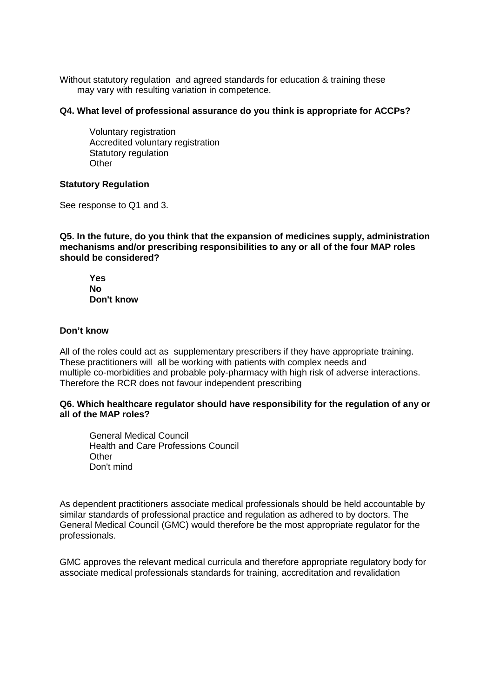Without statutory regulation and agreed standards for education & training these may vary with resulting variation in competence.

### **Q4. What level of professional assurance do you think is appropriate for ACCPs?**

Voluntary registration Accredited voluntary registration Statutory regulation **Other** 

## **Statutory Regulation**

See response to Q1 and 3.

**Q5. In the future, do you think that the expansion of medicines supply, administration mechanisms and/or prescribing responsibilities to any or all of the four MAP roles should be considered?**

**Yes No Don't know**

### **Don't know**

All of the roles could act as supplementary prescribers if they have appropriate training. These practitioners will all be working with patients with complex needs and multiple co-morbidities and probable poly-pharmacy with high risk of adverse interactions. Therefore the RCR does not favour independent prescribing

### **Q6. Which healthcare regulator should have responsibility for the regulation of any or all of the MAP roles?**

General Medical Council Health and Care Professions Council **Other** Don't mind

As dependent practitioners associate medical professionals should be held accountable by similar standards of professional practice and regulation as adhered to by doctors. The General Medical Council (GMC) would therefore be the most appropriate regulator for the professionals.

GMC approves the relevant medical curricula and therefore appropriate regulatory body for associate medical professionals standards for training, accreditation and revalidation